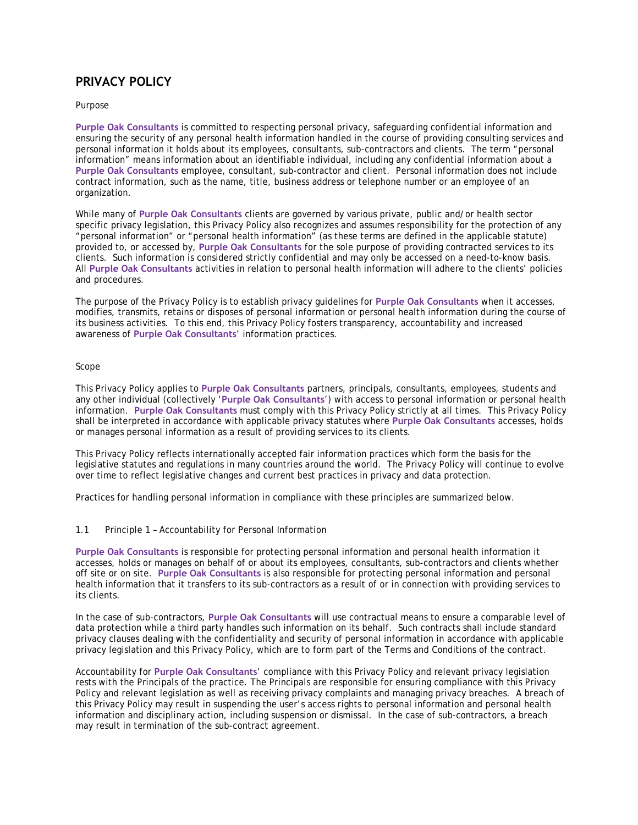# **PRIVACY POLICY**

Purpose

**Purple Oak Consultants** is committed to respecting personal privacy, safeguarding confidential information and ensuring the security of any personal health information handled in the course of providing consulting services and personal information it holds about its employees, consultants, sub-contractors and clients. The term "personal information" means information about an identifiable individual, including any confidential information about a **Purple Oak Consultants** employee, consultant, sub-contractor and client. Personal information does not include contract information, such as the name, title, business address or telephone number or an employee of an organization.

While many of **Purple Oak Consultants** clients are governed by various private, public and/or health sector specific privacy legislation, this Privacy Policy also recognizes and assumes responsibility for the protection of any "personal information" or "personal health information" (as these terms are defined in the applicable statute) provided to, or accessed by, **Purple Oak Consultants** for the sole purpose of providing contracted services to its clients. Such information is considered strictly confidential and may only be accessed on a need-to-know basis. All **Purple Oak Consultants** activities in relation to personal health information will adhere to the clients' policies and procedures.

The purpose of the Privacy Policy is to establish privacy guidelines for **Purple Oak Consultants** when it accesses, modifies, transmits, retains or disposes of personal information or personal health information during the course of its business activities. To this end, this Privacy Policy fosters transparency, accountability and increased awareness of **Purple Oak Consultants**' information practices.

## Scope

This Privacy Policy applies to **Purple Oak Consultants** partners, principals, consultants, employees, students and any other individual (collectively '**Purple Oak Consultants**') with access to personal information or personal health information. **Purple Oak Consultants** must comply with this Privacy Policy strictly at all times. This Privacy Policy shall be interpreted in accordance with applicable privacy statutes where **Purple Oak Consultants** accesses, holds or manages personal information as a result of providing services to its clients.

This Privacy Policy reflects internationally accepted fair information practices which form the basis for the legislative statutes and regulations in many countries around the world. The Privacy Policy will continue to evolve over time to reflect legislative changes and current best practices in privacy and data protection.

Practices for handling personal information in compliance with these principles are summarized below.

1.1 Principle 1 – Accountability for Personal Information

**Purple Oak Consultants** is responsible for protecting personal information and personal health information it accesses, holds or manages on behalf of or about its employees, consultants, sub-contractors and clients whether off site or on site. **Purple Oak Consultants** is also responsible for protecting personal information and personal health information that it transfers to its sub-contractors as a result of or in connection with providing services to its clients.

In the case of sub-contractors, **Purple Oak Consultants** will use contractual means to ensure a comparable level of data protection while a third party handles such information on its behalf. Such contracts shall include standard privacy clauses dealing with the confidentiality and security of personal information in accordance with applicable privacy legislation and this Privacy Policy, which are to form part of the Terms and Conditions of the contract.

Accountability for **Purple Oak Consultants**' compliance with this Privacy Policy and relevant privacy legislation rests with the Principals of the practice. The Principals are responsible for ensuring compliance with this Privacy Policy and relevant legislation as well as receiving privacy complaints and managing privacy breaches. A breach of this Privacy Policy may result in suspending the user's access rights to personal information and personal health information and disciplinary action, including suspension or dismissal. In the case of sub-contractors, a breach may result in termination of the sub-contract agreement.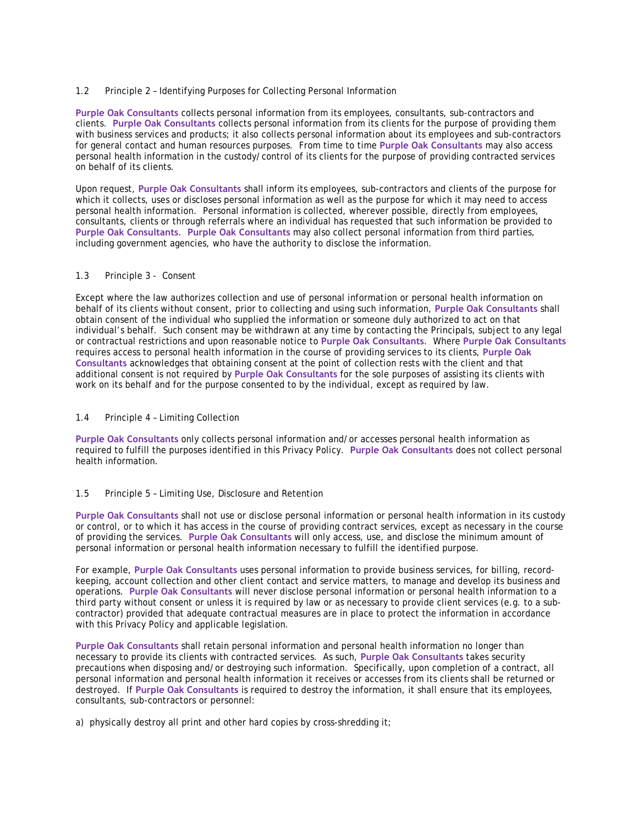### 1.2 Principle 2 – Identifying Purposes for Collecting Personal Information

**Purple Oak Consultants** collects personal information from its employees, consultants, sub-contractors and clients. **Purple Oak Consultants** collects personal information from its clients for the purpose of providing them with business services and products; it also collects personal information about its employees and sub-contractors for general contact and human resources purposes. From time to time **Purple Oak Consultants** may also access personal health information in the custody/control of its clients for the purpose of providing contracted services on behalf of its clients.

Upon request, **Purple Oak Consultants** shall inform its employees, sub-contractors and clients of the purpose for which it collects, uses or discloses personal information as well as the purpose for which it may need to access personal health information. Personal information is collected, wherever possible, directly from employees, consultants, clients or through referrals where an individual has requested that such information be provided to **Purple Oak Consultants**. **Purple Oak Consultants** may also collect personal information from third parties, including government agencies, who have the authority to disclose the information.

#### 1.3 Principle 3 - Consent

Except where the law authorizes collection and use of personal information or personal health information on behalf of its clients without consent, prior to collecting and using such information, **Purple Oak Consultants** shall obtain consent of the individual who supplied the information or someone duly authorized to act on that individual's behalf. Such consent may be withdrawn at any time by contacting the Principals, subject to any legal or contractual restrictions and upon reasonable notice to **Purple Oak Consultants**. Where **Purple Oak Consultants**  requires access to personal health information in the course of providing services to its clients, **Purple Oak Consultants** acknowledges that obtaining consent at the point of collection rests with the client and that additional consent is not required by **Purple Oak Consultants** for the sole purposes of assisting its clients with work on its behalf and for the purpose consented to by the individual, except as required by law.

#### 1.4 Principle 4 – Limiting Collection

**Purple Oak Consultants** only collects personal information and/or accesses personal health information as required to fulfill the purposes identified in this Privacy Policy. **Purple Oak Consultants** does not collect personal health information.

### 1.5 Principle 5 – Limiting Use, Disclosure and Retention

**Purple Oak Consultants** shall not use or disclose personal information or personal health information in its custody or control, or to which it has access in the course of providing contract services, except as necessary in the course of providing the services. **Purple Oak Consultants** will only access, use, and disclose the minimum amount of personal information or personal health information necessary to fulfill the identified purpose.

For example, **Purple Oak Consultants** uses personal information to provide business services, for billing, recordkeeping, account collection and other client contact and service matters, to manage and develop its business and operations. **Purple Oak Consultants** will never disclose personal information or personal health information to a third party without consent or unless it is required by law or as necessary to provide client services (e.g. to a subcontractor) provided that adequate contractual measures are in place to protect the information in accordance with this Privacy Policy and applicable legislation.

**Purple Oak Consultants** shall retain personal information and personal health information no longer than necessary to provide its clients with contracted services. As such, **Purple Oak Consultants** takes security precautions when disposing and/or destroying such information. Specifically, upon completion of a contract, all personal information and personal health information it receives or accesses from its clients shall be returned or destroyed. If **Purple Oak Consultants** is required to destroy the information, it shall ensure that its employees, consultants, sub-contractors or personnel:

a) physically destroy all print and other hard copies by cross-shredding it;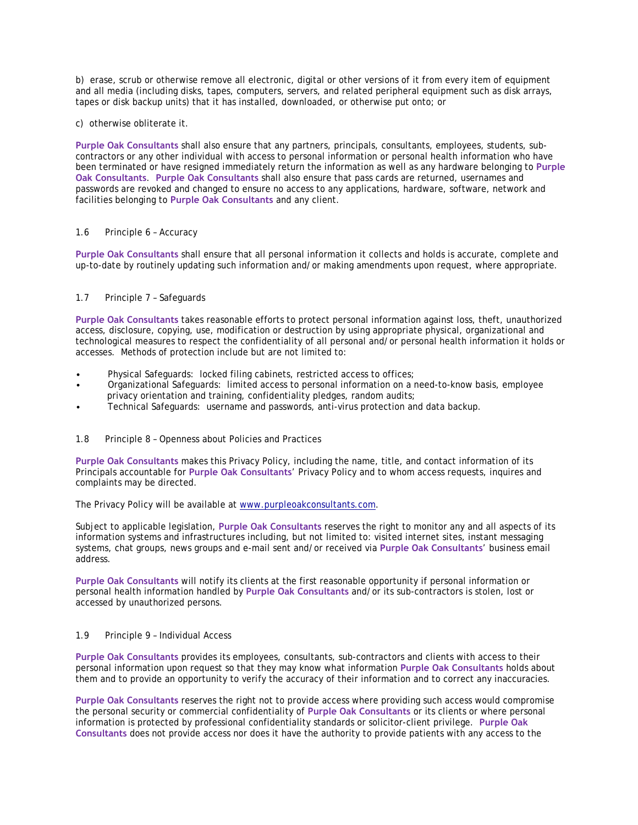b) erase, scrub or otherwise remove all electronic, digital or other versions of it from every item of equipment and all media (including disks, tapes, computers, servers, and related peripheral equipment such as disk arrays, tapes or disk backup units) that it has installed, downloaded, or otherwise put onto; or

c) otherwise obliterate it.

**Purple Oak Consultants** shall also ensure that any partners, principals, consultants, employees, students, subcontractors or any other individual with access to personal information or personal health information who have been terminated or have resigned immediately return the information as well as any hardware belonging to **Purple Oak Consultants**. **Purple Oak Consultants** shall also ensure that pass cards are returned, usernames and passwords are revoked and changed to ensure no access to any applications, hardware, software, network and facilities belonging to **Purple Oak Consultants** and any client.

### 1.6 Principle 6 – Accuracy

**Purple Oak Consultants** shall ensure that all personal information it collects and holds is accurate, complete and up-to-date by routinely updating such information and/or making amendments upon request, where appropriate.

#### 1.7 Principle 7 – Safeguards

**Purple Oak Consultants** takes reasonable efforts to protect personal information against loss, theft, unauthorized access, disclosure, copying, use, modification or destruction by using appropriate physical, organizational and technological measures to respect the confidentiality of all personal and/or personal health information it holds or accesses. Methods of protection include but are not limited to:

- Physical Safeguards: locked filing cabinets, restricted access to offices;
- Organizational Safeguards: limited access to personal information on a need-to-know basis, employee privacy orientation and training, confidentiality pledges, random audits;
- Technical Safeguards: username and passwords, anti-virus protection and data backup.
- 1.8 Principle 8 Openness about Policies and Practices

**Purple Oak Consultants** makes this Privacy Policy, including the name, title, and contact information of its Principals accountable for **Purple Oak Consultants**' Privacy Policy and to whom access requests, inquires and complaints may be directed.

The Privacy Policy will be available a[t www.purpleoakconsultants.com](http://www.courtyard-group.com/).

Subject to applicable legislation, **Purple Oak Consultants** reserves the right to monitor any and all aspects of its information systems and infrastructures including, but not limited to: visited internet sites, instant messaging systems, chat groups, news groups and e-mail sent and/or received via **Purple Oak Consultants**' business email address.

**Purple Oak Consultants** will notify its clients at the first reasonable opportunity if personal information or personal health information handled by **Purple Oak Consultants** and/or its sub-contractors is stolen, lost or accessed by unauthorized persons.

#### 1.9 Principle 9 – Individual Access

**Purple Oak Consultants** provides its employees, consultants, sub-contractors and clients with access to their personal information upon request so that they may know what information **Purple Oak Consultants** holds about them and to provide an opportunity to verify the accuracy of their information and to correct any inaccuracies.

**Purple Oak Consultants** reserves the right not to provide access where providing such access would compromise the personal security or commercial confidentiality of **Purple Oak Consultants** or its clients or where personal information is protected by professional confidentiality standards or solicitor-client privilege. **Purple Oak Consultants** does not provide access nor does it have the authority to provide patients with any access to the